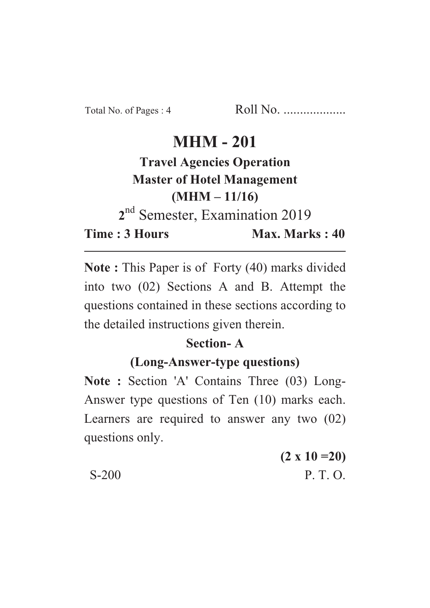## **MHM - 201**

# **Travel Agencies Operation Master of Hotel Management**  $(MHM - 11/16)$ <sup>nd</sup> Semester, Examination 2019

**22** Time: 3 Hours

Max. Marks: 40 **Time : 3 Hours Max. Marks : 40**

**Note :** This Paper is of Forty (40) marks divided into two (02) Sections A and B. Attempt the questions contained in these sections according to the detailed instructions given therein.

#### **Section-A**

#### (Long-Answer-type questions)

**(Long-Answer-type questions) Note : Section 'A' Contains Three (03) Long-**Answer type questions of Ten (10) marks each. Learners are required to answer any two (02) questions only.

**(2 x 10 =20)** S-200 P. T. O.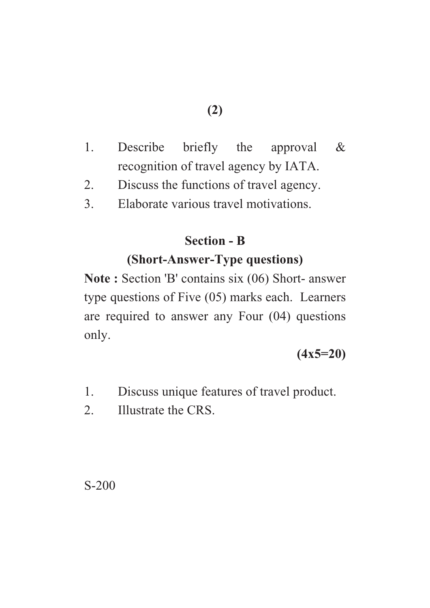- **(2)**
- 1. Describe briefly the approval & recognition of travel agency by IATA.
- 2. Discuss the functions of travel agency.
- 3. Elaborate various travel motivations.

#### **Section - B**

#### **(Short-Answer-Type questions)**

(Short-Answer-Type questions) **Note : Section 'B' contains six (06) Short- answer** type questions of Five (05) marks each. Learners are required to answer any Four (04) questions only.

#### **(4x5=20)**

- 1. Discuss unique features of travel product.
- 2. Illustrate the CRS.

S-200